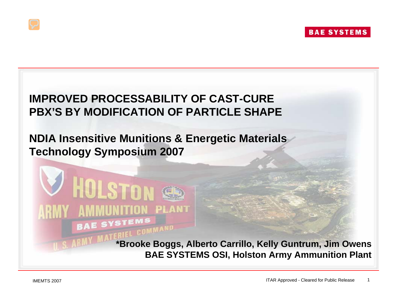#### **IMPROVED PROCESSABILITY OF CAST-CURE PBX'S BY MODIFICATION OF PARTICLE SHAPE**

#### **NDIA Insensitive Munitions & Energetic Materials Technology Symposium 2007**

**TION PLANT** 

**MMAND** 

**HOLSTOI** 

**\*Brooke Boggs, Alberto Carrillo, Kelly Guntrum, Jim Owens BAE SYSTEMS OSI, Holston Army Ammunition Plant**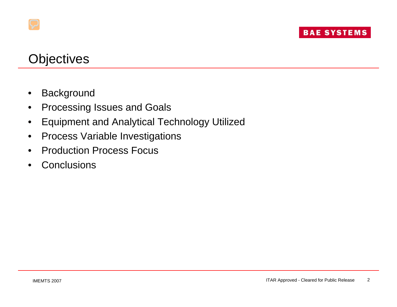# **Objectives**

- **Background**
- Processing Issues and Goals
- Equipment and Analytical Technology Utilized
- Process Variable Investigations
- Production Process Focus
- **Conclusions**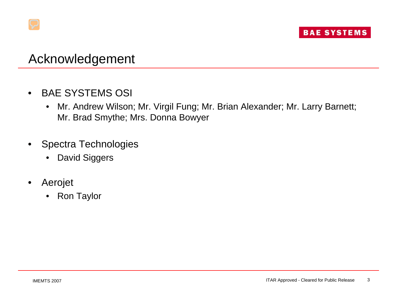

### Acknowledgement

- BAE SYSTEMS OSI
	- Mr. Andrew Wilson; Mr. Virgil Fung; Mr. Brian Alexander; Mr. Larry Barnett; Mr. Brad Smythe; Mrs. Donna Bowyer
- Spectra Technologies
	- David Siggers
- Aerojet
	- Ron Taylor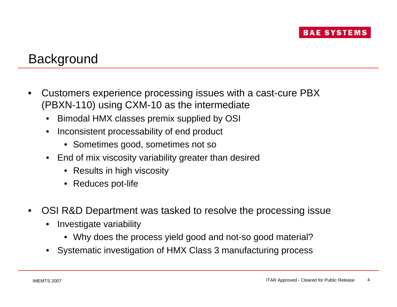# **Background**

- Customers experience processing issues with a cast-cure PBX (PBXN-110) using CXM-10 as the intermediate
	- Bimodal HMX classes premix supplied by OSI
	- Inconsistent processability of end product
		- Sometimes good, sometimes not so
	- End of mix viscosity variability greater than desired
		- Results in high viscosity
		- Reduces pot-life
- OSI R&D Department was tasked to resolve the processing issue
	- Investigate variability
		- Why does the process yield good and not-so good material?
	- Systematic investigation of HMX Class 3 manufacturing process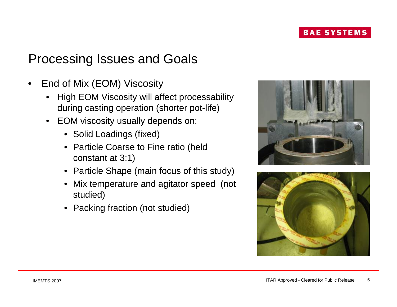# Processing Issues and Goals

- End of Mix (EOM) Viscosity
	- High EOM Viscosity will affect processability during casting operation (shorter pot-life)
	- EOM viscosity usually depends on:
		- Solid Loadings (fixed)
		- Particle Coarse to Fine ratio (held constant at 3:1)
		- Particle Shape (main focus of this study)
		- Mix temperature and agitator speed (not studied)
		- Packing fraction (not studied)



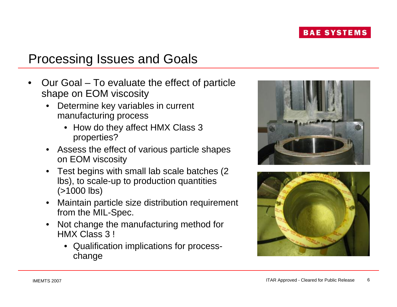# Processing Issues and Goals

- Our Goal To evaluate the effect of particle shape on EOM viscosity
	- Determine key variables in current manufacturing process
		- How do they affect HMX Class 3 properties?
	- Assess the effect of various particle shapes on EOM viscosity
	- Test begins with small lab scale batches (2 lbs), to scale-up to production quantities (>1000 lbs)
	- Maintain particle size distribution requirement from the MIL-Spec.
	- Not change the manufacturing method for HMX Class 3 !
		- Qualification implications for processchange



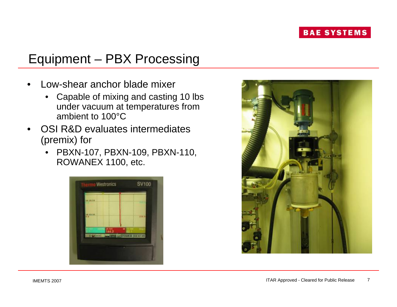# Equipment – PBX Processing

- Low-shear anchor blade mixer
	- Capable of mixing and casting 10 lbs under vacuum at temperatures from ambient to 100°C
- OSI R&D evaluates intermediates (premix) for
	- PBXN-107, PBXN-109, PBXN-110, ROWANEX 1100, etc.



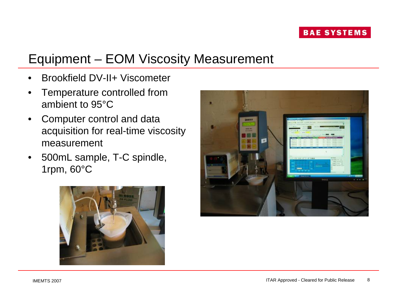# Equipment – EOM Viscosity Measurement

- Brookfield DV-II+ Viscometer
- Temperature controlled from ambient to 95°C
- Computer control and data acquisition for real-time viscosity measurement
- 500mL sample, T-C spindle, 1rpm, 60°C



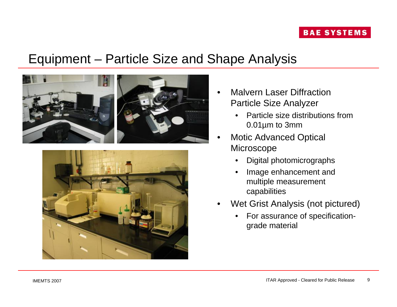### Equipment – Particle Size and Shape Analysis





- Malvern Laser Diffraction Particle Size Analyzer
	- Particle size distributions from 0.01µm to 3mm
- **Motic Advanced Optical Microscope** 
	- Digital photomicrographs
	- Image enhancement and multiple measurement capabilities
- Wet Grist Analysis (not pictured)
	- For assurance of specificationgrade material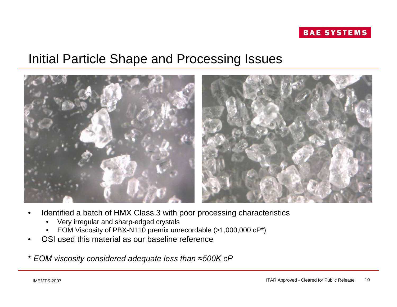

### Initial Particle Shape and Processing Issues



- Identified a batch of HMX Class 3 with poor processing characteristics
	- Very irregular and sharp-edged crystals
	- EOM Viscosity of PBX-N110 premix unrecordable (>1,000,000 cP\*)
- OSI used this material as our baseline reference
- \* *EOM viscosity considered adequate less than ≈500K cP*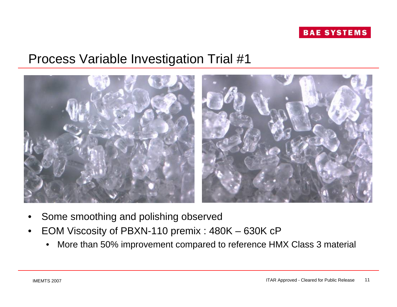



- Some smoothing and polishing observed
- EOM Viscosity of PBXN-110 premix : 480K 630K cP
	- More than 50% improvement compared to reference HMX Class 3 material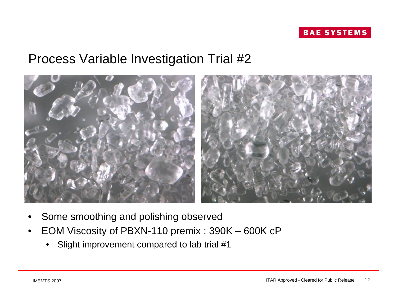



- Some smoothing and polishing observed
- EOM Viscosity of PBXN-110 premix : 390K 600K cP
	- Slight improvement compared to lab trial #1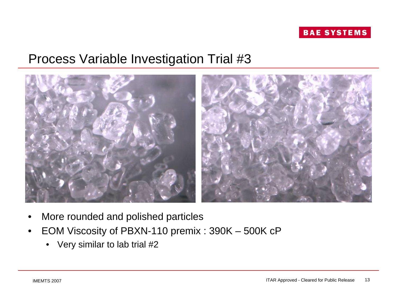



- More rounded and polished particles
- EOM Viscosity of PBXN-110 premix : 390K 500K cP
	- Very similar to lab trial #2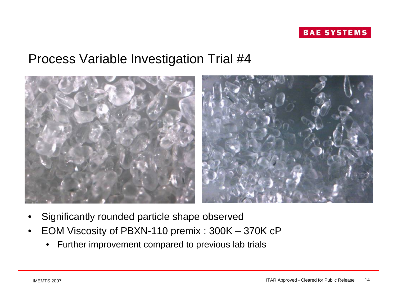



- Significantly rounded particle shape observed
- EOM Viscosity of PBXN-110 premix : 300K 370K cP
	- Further improvement compared to previous lab trials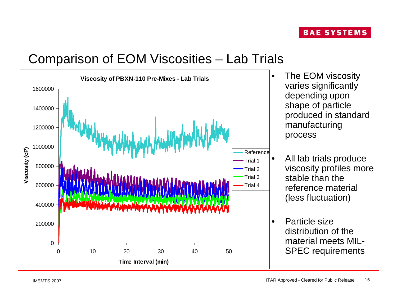# Comparison of EOM Viscosities – Lab Trials

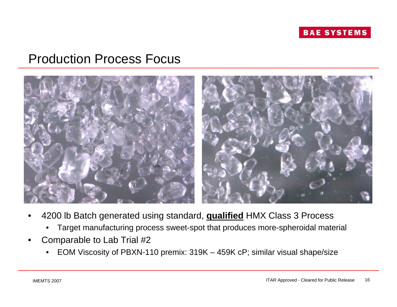

### Production Process Focus



- 4200 lb Batch generated using standard, **qualified** HMX Class 3 Process
	- Target manufacturing process sweet-spot that produces more-spheroidal material
- Comparable to Lab Trial #2
	- EOM Viscosity of PBXN-110 premix: 319K 459K cP; similar visual shape/size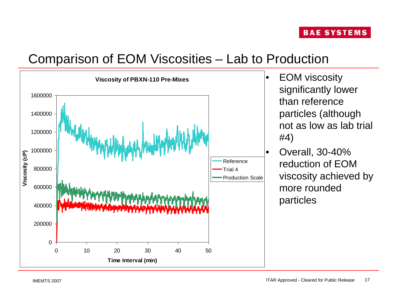# Comparison of EOM Viscosities – Lab to Production





• Overall, 30-40% reduction of EOM viscosity achieved by more rounded particles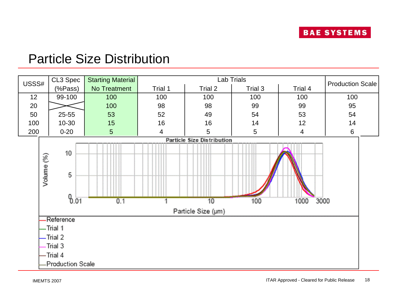# Particle Size Distribution